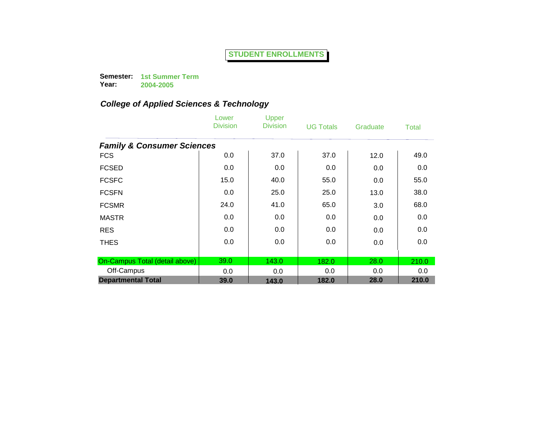**Semester: 1st Summer Term Year: 2004-2005**

|                                       | Lower<br><b>Division</b> | Upper<br><b>Division</b> | <b>UG Totals</b> | Graduate | <b>Total</b> |
|---------------------------------------|--------------------------|--------------------------|------------------|----------|--------------|
| <b>Family &amp; Consumer Sciences</b> |                          |                          |                  |          |              |
| <b>FCS</b>                            | 0.0                      | 37.0                     | 37.0             | 12.0     | 49.0         |
| <b>FCSED</b>                          | 0.0                      | 0.0                      | 0.0              | 0.0      | 0.0          |
| <b>FCSFC</b>                          | 15.0                     | 40.0                     | 55.0             | 0.0      | 55.0         |
| <b>FCSFN</b>                          | 0.0                      | 25.0                     | 25.0             | 13.0     | 38.0         |
| <b>FCSMR</b>                          | 24.0                     | 41.0                     | 65.0             | 3.0      | 68.0         |
| <b>MASTR</b>                          | 0.0                      | 0.0                      | 0.0              | 0.0      | 0.0          |
| <b>RES</b>                            | 0.0                      | 0.0                      | 0.0              | 0.0      | 0.0          |
| <b>THES</b>                           | 0.0                      | 0.0                      | 0.0              | 0.0      | 0.0          |
| On-Campus Total (detail above)        | 39.0                     | 143.0                    | 182.0            | 28.0     | 210.0        |
| Off-Campus                            | 0.0                      | 0.0                      | 0.0              | 0.0      | 0.0          |
| <b>Departmental Total</b>             | 39.0                     | 143.0                    | 182.0            | 28.0     | 210.0        |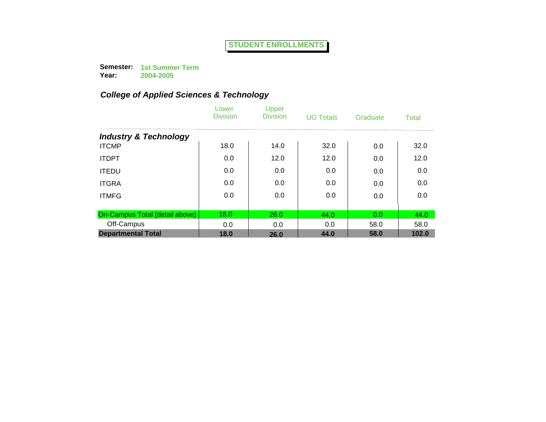**Semester: 1st Summer Term Year:**

**2004-2005**

|                                  | Lower<br><b>Division</b> | Upper<br><b>Division</b> | <b>UG Totals</b> | Graduate | Total |
|----------------------------------|--------------------------|--------------------------|------------------|----------|-------|
| <b>Industry &amp; Technology</b> |                          |                          |                  |          |       |
| <b>ITCMP</b>                     | 18.0                     | 14.0                     | 32.0             | 0.0      | 32.0  |
| <b>ITDPT</b>                     | 0.0                      | 12.0                     | 12.0             | 0.0      | 12.0  |
| <b>ITEDU</b>                     | 0.0                      | 0.0                      | 0.0              | 0.0      | 0.0   |
| <b>ITGRA</b>                     | 0.0                      | 0.0                      | 0.0              | 0.0      | 0.0   |
| <b>ITMFG</b>                     | 0.0                      | 0.0                      | 0.0              | 0.0      | 0.0   |
|                                  |                          |                          |                  |          |       |
| On-Campus Total (detail above)   | 18.0                     | 26.0                     | 44.0             | 0.0      | 44.0  |
| Off-Campus                       | 0.0                      | 0.0                      | 0.0              | 58.0     | 58.0  |
| <b>Departmental Total</b>        | 18.0                     | 26.0                     | 44.0             | 58.0     | 102.0 |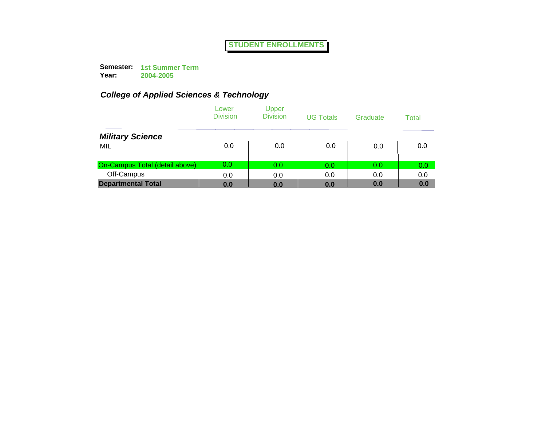**Semester: 1st Summer Term Year:**

**2004-2005**

|                                | Lower<br><b>Division</b> | Upper<br><b>Division</b> | <b>UG Totals</b> | Graduate | Total |
|--------------------------------|--------------------------|--------------------------|------------------|----------|-------|
| <b>Military Science</b>        |                          |                          |                  |          |       |
| MIL                            | 0.0                      | 0.0                      | 0.0              | 0.0      | 0.0   |
| On-Campus Total (detail above) | 0.0                      | 0.0                      | 0.0              | 0.0      | 0.0   |
| Off-Campus                     | 0.0                      | 0.0                      | 0.0              | 0.0      | 0.0   |
| <b>Departmental Total</b>      | 0.0                      | 0.0                      | 0.0              | 0.0      | 0.0   |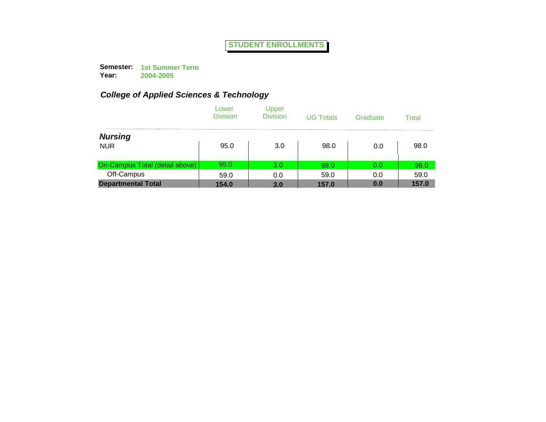**Semester: 1st Summer Term Year: 2004-2005**

|                                       | Lower<br><b>Division</b> | Upper<br><b>Division</b> | <b>UG Totals</b> | Graduate | Total |
|---------------------------------------|--------------------------|--------------------------|------------------|----------|-------|
| <b>Nursing</b>                        |                          |                          |                  |          |       |
| <b>NUR</b>                            | 95.0                     | 3.0                      | 98.0             | 0.0      | 98.0  |
| <b>On-Campus Total (detail above)</b> | 95.0                     | 3.0                      | 98.0             | 0.0      | 98.0  |
| Off-Campus                            | 59.0                     | 0.0                      | 59.0             | 0.0      | 59.0  |
| <b>Departmental Total</b>             | 154.0                    | 3.0                      | 157.0            | 0.0      | 157.0 |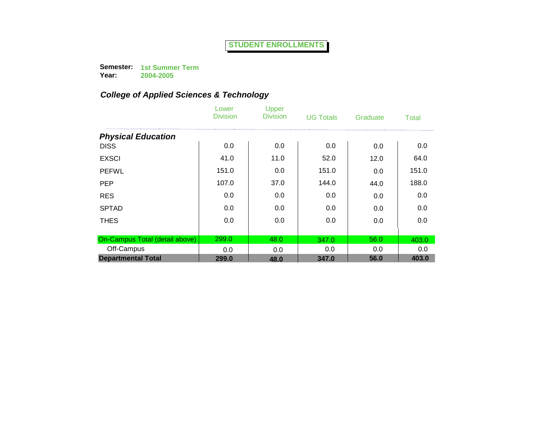**Semester: 1st Summer Term Year:**

**2004-2005**

|                                | Lower<br><b>Division</b> | Upper<br><b>Division</b> | <b>UG Totals</b> | Graduate | Total |
|--------------------------------|--------------------------|--------------------------|------------------|----------|-------|
| <b>Physical Education</b>      |                          |                          |                  |          |       |
| <b>DISS</b>                    | 0.0                      | 0.0                      | 0.0              | 0.0      | 0.0   |
| <b>EXSCI</b>                   | 41.0                     | 11.0                     | 52.0             | 12.0     | 64.0  |
| <b>PEFWL</b>                   | 151.0                    | 0.0                      | 151.0            | 0.0      | 151.0 |
| <b>PEP</b>                     | 107.0                    | 37.0                     | 144.0            | 44.0     | 188.0 |
| <b>RES</b>                     | 0.0                      | 0.0                      | 0.0              | 0.0      | 0.0   |
| <b>SPTAD</b>                   | 0.0                      | 0.0                      | 0.0              | 0.0      | 0.0   |
| <b>THES</b>                    | 0.0                      | 0.0                      | 0.0              | 0.0      | 0.0   |
|                                |                          |                          |                  |          |       |
| On-Campus Total (detail above) | 299.0                    | 48.0                     | 347.0            | 56.0     | 403.0 |
| Off-Campus                     | 0.0                      | 0.0                      | 0.0              | 0.0      | 0.0   |
| <b>Departmental Total</b>      | 299.0                    | 48.0                     | 347.0            | 56.0     | 403.0 |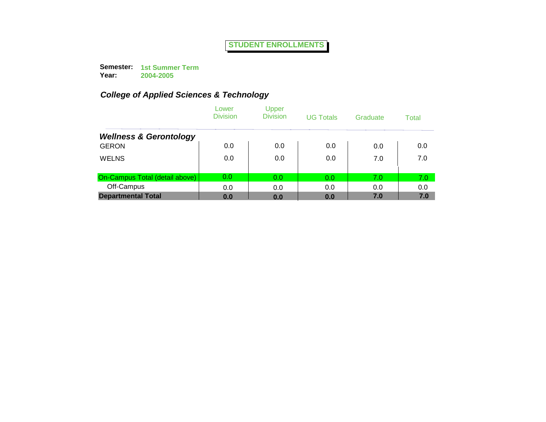**Semester: 1st Summer Term Year: 2004-2005**

|                                   | Lower<br><b>Division</b> | Upper<br><b>Division</b> | <b>UG Totals</b> | Graduate | Total |
|-----------------------------------|--------------------------|--------------------------|------------------|----------|-------|
| <b>Wellness &amp; Gerontology</b> |                          |                          |                  |          |       |
| <b>GERON</b>                      | 0.0                      | 0.0                      | 0.0              | 0.0      | 0.0   |
| <b>WELNS</b>                      | 0.0                      | 0.0                      | 0.0              | 7.0      | 7.0   |
| On-Campus Total (detail above)    | 0.0                      | 0.0                      | 0.0              | 7.0      | 7.0   |
| Off-Campus                        | 0.0                      | 0.0                      | 0.0              | 0.0      | 0.0   |
| <b>Departmental Total</b>         | 0.0                      | 0.0                      | 0.0              | 7.0      | 7.0   |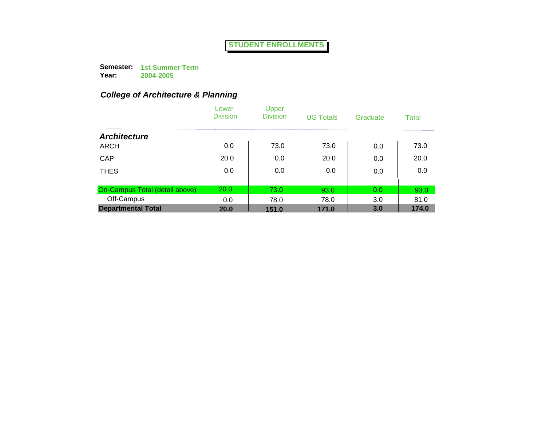**Semester: 1st Summer Term Year: 2004-2005**

|                                | Lower<br><b>Division</b> | Upper<br><b>Division</b> | <b>UG Totals</b> | Graduate | Total |
|--------------------------------|--------------------------|--------------------------|------------------|----------|-------|
| <b>Architecture</b>            |                          |                          |                  |          |       |
| <b>ARCH</b>                    | 0.0                      | 73.0                     | 73.0             | 0.0      | 73.0  |
| CAP                            | 20.0                     | 0.0                      | 20.0             | 0.0      | 20.0  |
| <b>THES</b>                    | 0.0                      | 0.0                      | 0.0              | 0.0      | 0.0   |
| On-Campus Total (detail above) | 20.0                     | 73.0                     | 93.0             | 0.0      | 93.0  |
| Off-Campus                     | 0.0                      | 78.0                     | 78.0             | 3.0      | 81.0  |
| <b>Departmental Total</b>      | 20.0                     | 151.0                    | 171.0            | 3.0      | 174.0 |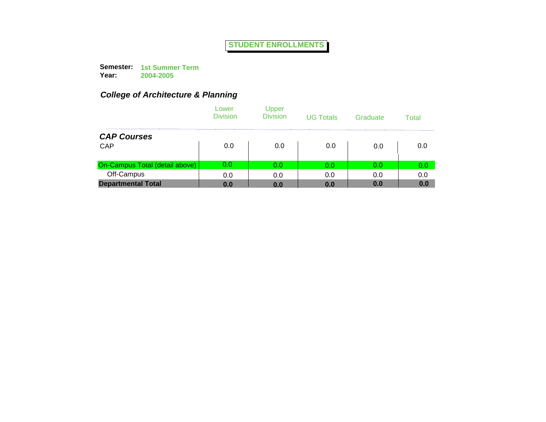**Semester: 1st Summer Term Year: 2004-2005**

|                                | Lower<br><b>Division</b> | Upper<br><b>Division</b> | <b>UG Totals</b> | Graduate | Total |
|--------------------------------|--------------------------|--------------------------|------------------|----------|-------|
| <b>CAP Courses</b>             |                          |                          |                  |          |       |
| <b>CAP</b>                     | 0.0                      | 0.0                      | 0.0              | 0.0      | 0.0   |
| On-Campus Total (detail above) | 0.0                      | 0.0                      | 0.0              | 0.0      | 0.0   |
| Off-Campus                     | 0.0                      | 0.0                      | 0.0              | 0.0      | 0.0   |
| <b>Departmental Total</b>      | 0.0                      | 0.0                      | 0.0              | 0.0      | 0.0   |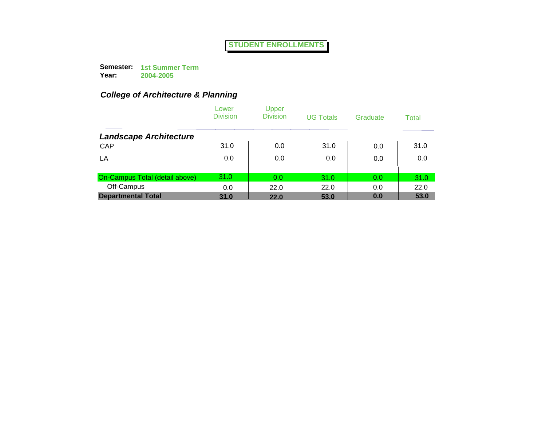**Semester: 1st Summer Term Year: 2004-2005**

|                                | Lower<br><b>Division</b> | Upper<br><b>Division</b> | <b>UG Totals</b> | Graduate | Total |
|--------------------------------|--------------------------|--------------------------|------------------|----------|-------|
| <b>Landscape Architecture</b>  |                          |                          |                  |          |       |
| CAP                            | 31.0                     | 0.0                      | 31.0             | 0.0      | 31.0  |
| LA                             | 0.0                      | 0.0                      | 0.0              | 0.0      | 0.0   |
| On-Campus Total (detail above) | 31.0                     | 0.0                      | 31.0             | 0.0      | 31.0  |
| Off-Campus                     | 0.0                      | 22.0                     | 22.0             | 0.0      | 22.0  |
| <b>Departmental Total</b>      | 31.0                     | <b>22.0</b>              | 53.0             | 0.0      | 53.0  |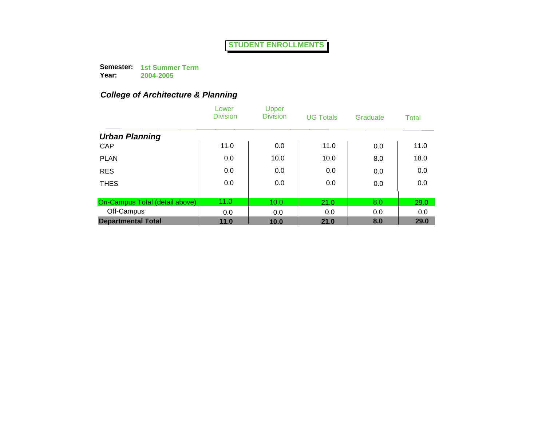**Semester: 1st Summer Term Year: 2004-2005**

|                                | Lower<br><b>Division</b> | Upper<br><b>Division</b> | <b>UG Totals</b> | Graduate | <b>Total</b> |
|--------------------------------|--------------------------|--------------------------|------------------|----------|--------------|
| <b>Urban Planning</b>          |                          |                          |                  |          |              |
| CAP                            | 11.0                     | 0.0                      | 11.0             | 0.0      | 11.0         |
| <b>PLAN</b>                    | 0.0                      | 10.0                     | 10.0             | 8.0      | 18.0         |
| <b>RES</b>                     | 0.0                      | 0.0                      | 0.0              | 0.0      | 0.0          |
| <b>THES</b>                    | 0.0                      | 0.0                      | 0.0              | 0.0      | 0.0          |
|                                |                          |                          |                  |          |              |
| On-Campus Total (detail above) | 11.0                     | 10.0                     | 21.0             | 8.0      | 29.0         |
| Off-Campus                     | 0.0                      | 0.0                      | 0.0              | 0.0      | 0.0          |
| <b>Departmental Total</b>      | 11.0                     | 10.0                     | 21.0             | 8.0      | 29.0         |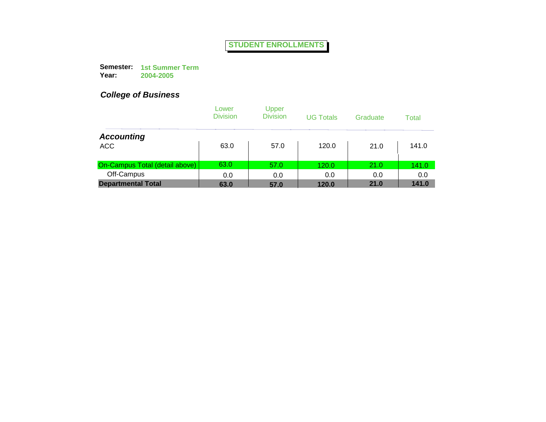**Semester: 1st Summer Term Year: 2004-2005**

|                                | Lower<br><b>Division</b> | Upper<br><b>Division</b> | <b>UG Totals</b> | Graduate | Total |
|--------------------------------|--------------------------|--------------------------|------------------|----------|-------|
| <b>Accounting</b>              |                          |                          |                  |          |       |
| <b>ACC</b>                     | 63.0                     | 57.0                     | 120.0            | 21.0     | 141.0 |
| On-Campus Total (detail above) | 63.0                     | 57.0                     | 120.0            | 21.0     | 141.0 |
| Off-Campus                     | 0.0                      | 0.0                      | 0.0              | 0.0      | 0.0   |
| <b>Departmental Total</b>      | 63.0                     | 57.0                     | 120.0            | 21.0     | 141.0 |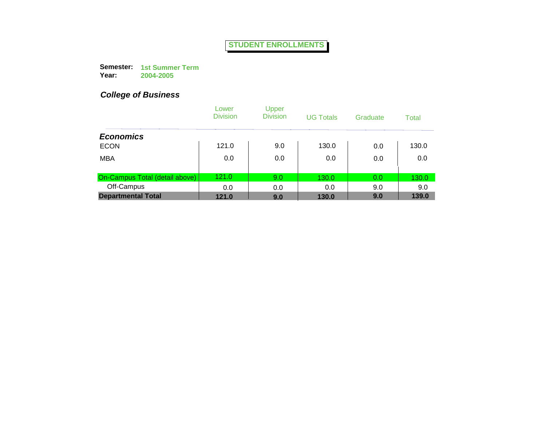**Semester: 1st Summer Term Year: 2004-2005**

|                                | Lower<br><b>Division</b> | Upper<br><b>Division</b> | <b>UG Totals</b> | Graduate | Total |
|--------------------------------|--------------------------|--------------------------|------------------|----------|-------|
| <b>Economics</b>               |                          |                          |                  |          |       |
| <b>ECON</b>                    | 121.0                    | 9.0                      | 130.0            | 0.0      | 130.0 |
| <b>MBA</b>                     | 0.0                      | 0.0                      | 0.0              | 0.0      | 0.0   |
| On-Campus Total (detail above) | 121.0                    | 9.0                      | 130.0            | 0.0      | 130.0 |
| Off-Campus                     | 0.0                      | 0.0                      | 0.0              | 9.0      | 9.0   |
| <b>Departmental Total</b>      | 121.0                    | 9.0                      | 130.0            | 9.0      | 139.0 |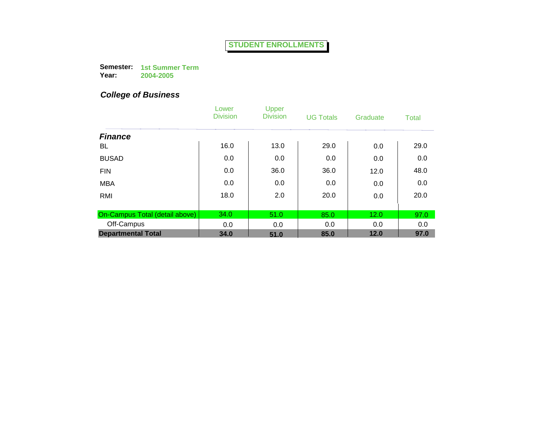**Semester: 1st Summer Term Year: 2004-2005**

|                                | Lower<br><b>Division</b> | Upper<br><b>Division</b> | <b>UG Totals</b> | Graduate | <b>Total</b> |
|--------------------------------|--------------------------|--------------------------|------------------|----------|--------------|
| <b>Finance</b>                 |                          |                          |                  |          |              |
| BL                             | 16.0                     | 13.0                     | 29.0             | 0.0      | 29.0         |
| <b>BUSAD</b>                   | 0.0                      | 0.0                      | 0.0              | 0.0      | 0.0          |
| <b>FIN</b>                     | 0.0                      | 36.0                     | 36.0             | 12.0     | 48.0         |
| <b>MBA</b>                     | 0.0                      | 0.0                      | 0.0              | 0.0      | 0.0          |
| RMI                            | 18.0                     | 2.0                      | 20.0             | 0.0      | 20.0         |
|                                |                          |                          |                  |          |              |
| On-Campus Total (detail above) | 34.0                     | 51.0                     | 85.0             | 12.0     | 97.0         |
| Off-Campus                     | 0.0                      | 0.0                      | 0.0              | 0.0      | 0.0          |
| <b>Departmental Total</b>      | 34.0                     | 51.0                     | 85.0             | 12.0     | 97.0         |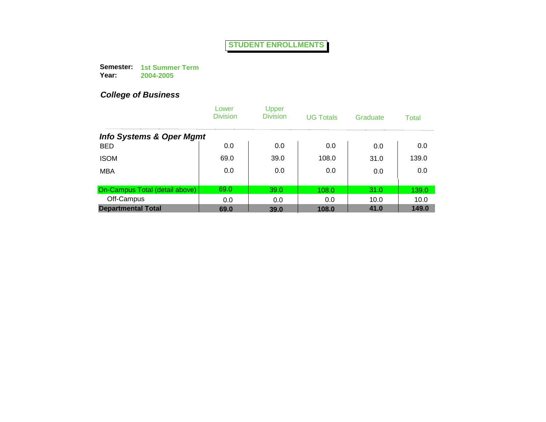**Semester: 1st Summer Term Year: 2004-2005**

|                                     | Lower<br><b>Division</b> | Upper<br><b>Division</b> | <b>UG Totals</b> | Graduate | Total |
|-------------------------------------|--------------------------|--------------------------|------------------|----------|-------|
| <b>Info Systems &amp; Oper Mgmt</b> |                          |                          |                  |          |       |
| <b>BED</b>                          | 0.0                      | 0.0                      | 0.0              | 0.0      | 0.0   |
| <b>ISOM</b>                         | 69.0                     | 39.0                     | 108.0            | 31.0     | 139.0 |
| <b>MBA</b>                          | 0.0                      | 0.0                      | 0.0              | 0.0      | 0.0   |
| On-Campus Total (detail above)      | 69.0                     | 39.0                     | 108.0            | 31.0     | 139.0 |
| Off-Campus                          | 0.0                      | 0.0                      | 0.0              | 10.0     | 10.0  |
| <b>Departmental Total</b>           | 69.0                     | 39.0                     | 108.0            | 41.0     | 149.0 |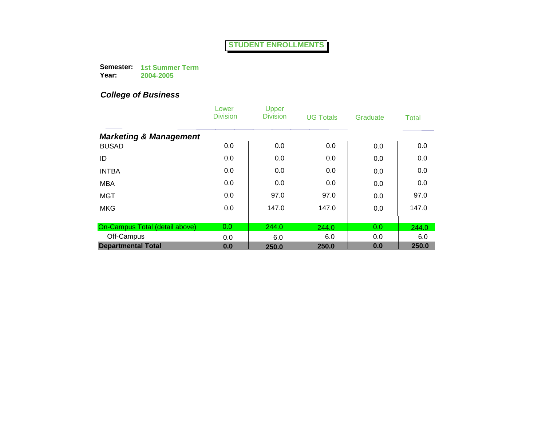**Semester: 1st Summer Term Year: 2004-2005**

|                                   | Lower<br><b>Division</b> | Upper<br><b>Division</b> | <b>UG Totals</b> | Graduate | Total |
|-----------------------------------|--------------------------|--------------------------|------------------|----------|-------|
| <b>Marketing &amp; Management</b> |                          |                          |                  |          |       |
| <b>BUSAD</b>                      | 0.0                      | 0.0                      | 0.0              | 0.0      | 0.0   |
| ID                                | 0.0                      | 0.0                      | 0.0              | 0.0      | 0.0   |
| <b>INTBA</b>                      | 0.0                      | 0.0                      | 0.0              | 0.0      | 0.0   |
| <b>MBA</b>                        | 0.0                      | 0.0                      | 0.0              | 0.0      | 0.0   |
| <b>MGT</b>                        | 0.0                      | 97.0                     | 97.0             | 0.0      | 97.0  |
| <b>MKG</b>                        | 0.0                      | 147.0                    | 147.0            | 0.0      | 147.0 |
|                                   |                          |                          |                  |          |       |
| On-Campus Total (detail above)    | 0.0                      | 244.0                    | 244.0            | 0.0      | 244.0 |
| Off-Campus                        | 0.0                      | 6.0                      | 6.0              | 0.0      | 6.0   |
| <b>Departmental Total</b>         | 0.0                      | 250.0                    | 250.0            | 0.0      | 250.0 |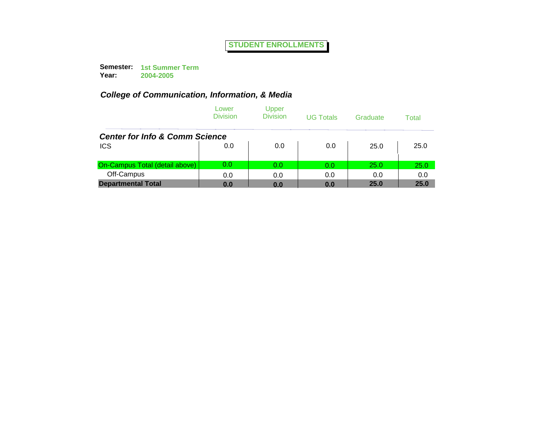**Semester: 1st Summer Term Year: 2004-2005**

|                                           | Lower<br><b>Division</b> | Upper<br><b>Division</b> | <b>UG Totals</b> | Graduate | Total |
|-------------------------------------------|--------------------------|--------------------------|------------------|----------|-------|
| <b>Center for Info &amp; Comm Science</b> |                          |                          |                  |          |       |
| <b>ICS</b>                                | 0.0                      | 0.0                      | 0.0              | 25.0     | 25.0  |
| On-Campus Total (detail above)            | 0.0                      | 0.0                      | 0.0              | 25.0     | 25.0  |
| Off-Campus                                | 0.0                      | 0.0                      | 0.0              | 0.0      | 0.0   |
| <b>Departmental Total</b>                 | 0.0                      | 0.0                      | 0.0              | 25.0     | 25.0  |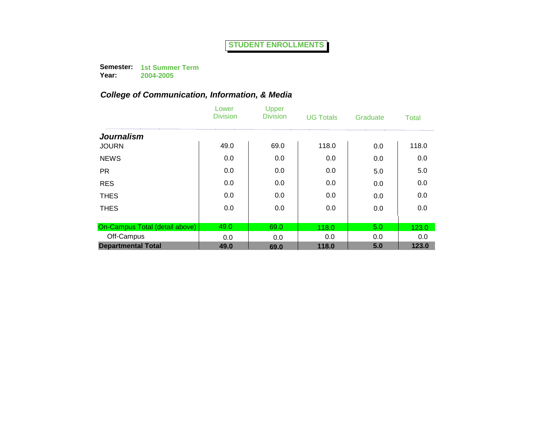**Semester: 1st Summer Term Year:**

**2004-2005**

|                                | Lower<br><b>Division</b> | Upper<br><b>Division</b> | <b>UG Totals</b> | Graduate | <b>Total</b> |
|--------------------------------|--------------------------|--------------------------|------------------|----------|--------------|
| <b>Journalism</b>              |                          |                          |                  |          |              |
| <b>JOURN</b>                   | 49.0                     | 69.0                     | 118.0            | 0.0      | 118.0        |
| <b>NEWS</b>                    | 0.0                      | 0.0                      | 0.0              | 0.0      | 0.0          |
| <b>PR</b>                      | 0.0                      | 0.0                      | 0.0              | 5.0      | 5.0          |
| <b>RES</b>                     | 0.0                      | 0.0                      | 0.0              | 0.0      | 0.0          |
| <b>THES</b>                    | 0.0                      | 0.0                      | 0.0              | 0.0      | 0.0          |
| <b>THES</b>                    | 0.0                      | 0.0                      | 0.0              | 0.0      | 0.0          |
|                                |                          |                          |                  |          |              |
| On-Campus Total (detail above) | 49.0                     | 69.0                     | 118.0            | 5.0      | 123.0        |
| Off-Campus                     | 0.0                      | 0.0                      | 0.0              | 0.0      | 0.0          |
| <b>Departmental Total</b>      | 49.0                     | 69.0                     | 118.0            | 5.0      | 123.0        |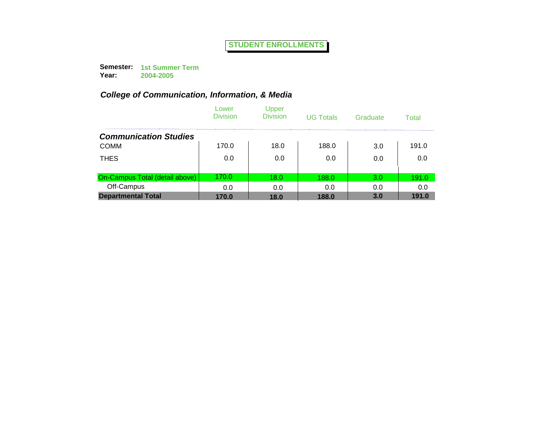**Semester: 1st Summer Term Year: 2004-2005**

|                                | Lower<br><b>Division</b> | Upper<br><b>Division</b> | <b>UG Totals</b> | Graduate | Total |
|--------------------------------|--------------------------|--------------------------|------------------|----------|-------|
| <b>Communication Studies</b>   |                          |                          |                  |          |       |
| <b>COMM</b>                    | 170.0                    | 18.0                     | 188.0            | 3.0      | 191.0 |
| <b>THES</b>                    | 0.0                      | 0.0                      | 0.0              | 0.0      | 0.0   |
| On-Campus Total (detail above) | 170.0                    | 18.0                     | 188.0            | 3.0      | 191.0 |
| Off-Campus                     | 0.0                      | 0.0                      | 0.0              | 0.0      | 0.0   |
| <b>Departmental Total</b>      | 170.0                    | 18.0                     | 188.0            | 3.0      | 191.0 |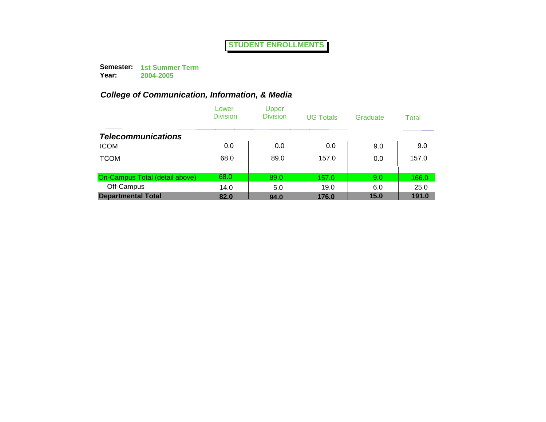**Semester: 1st Summer Term Year: 2004-2005**

|                                | Lower<br><b>Division</b> | Upper<br><b>Division</b> | <b>UG Totals</b> | Graduate | Total |
|--------------------------------|--------------------------|--------------------------|------------------|----------|-------|
| <b>Telecommunications</b>      |                          |                          |                  |          |       |
| <b>ICOM</b>                    | 0.0                      | 0.0                      | 0.0              | 9.0      | 9.0   |
| <b>TCOM</b>                    | 68.0                     | 89.0                     | 157.0            | 0.0      | 157.0 |
| On-Campus Total (detail above) | 68.0                     | 89.0                     | 157.0            | 9.0      | 166.0 |
| Off-Campus                     | 14.0                     | 5.0                      | 19.0             | 6.0      | 25.0  |
| <b>Departmental Total</b>      | 82.0                     | 94.0                     | 176.0            | 15.0     | 191.0 |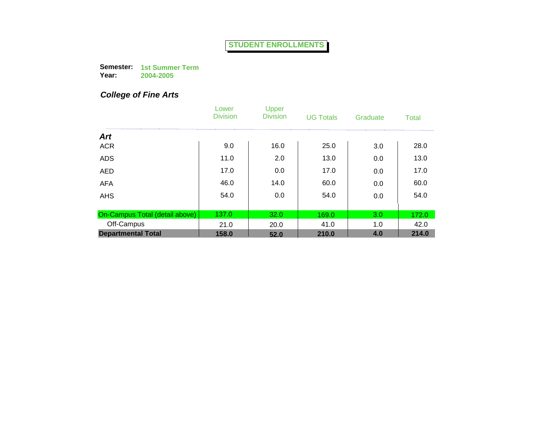**Semester: 1st Summer Term Year: 2004-2005**

# *College of Fine Arts*

|                                | Lower<br><b>Division</b> | Upper<br><b>Division</b> | <b>UG Totals</b> | Graduate | <b>Total</b> |
|--------------------------------|--------------------------|--------------------------|------------------|----------|--------------|
| <b>Art</b>                     |                          |                          |                  |          |              |
| <b>ACR</b>                     | 9.0                      | 16.0                     | 25.0             | 3.0      | 28.0         |
| <b>ADS</b>                     | 11.0                     | 2.0                      | 13.0             | 0.0      | 13.0         |
| <b>AED</b>                     | 17.0                     | 0.0                      | 17.0             | 0.0      | 17.0         |
| <b>AFA</b>                     | 46.0                     | 14.0                     | 60.0             | 0.0      | 60.0         |
| <b>AHS</b>                     | 54.0                     | 0.0                      | 54.0             | 0.0      | 54.0         |
|                                |                          |                          |                  |          |              |
| On-Campus Total (detail above) | 137.0                    | 32.0                     | 169.0            | 3.0      | 172.0        |
| Off-Campus                     | 21.0                     | 20.0                     | 41.0             | 1.0      | 42.0         |
| <b>Departmental Total</b>      | 158.0                    | 52.0                     | 210.0            | 4.0      | 214.0        |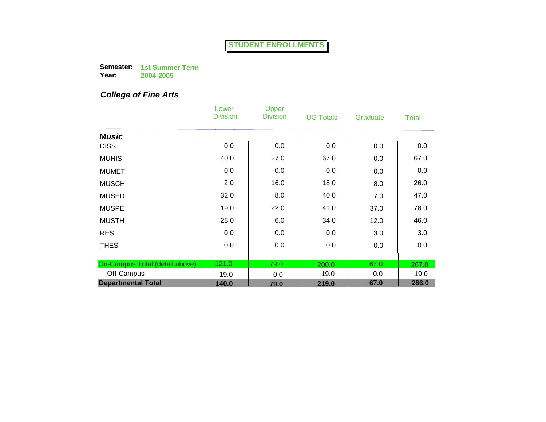**Semester: 1st Summer Term Year: 2004-2005**

# *College of Fine Arts*

|                                | Lower<br><b>Division</b> | Upper<br><b>Division</b> | <b>UG Totals</b> | Graduate | <b>Total</b> |
|--------------------------------|--------------------------|--------------------------|------------------|----------|--------------|
| <b>Music</b>                   |                          |                          |                  |          |              |
| <b>DISS</b>                    | 0.0                      | 0.0                      | 0.0              | 0.0      | 0.0          |
| <b>MUHIS</b>                   | 40.0                     | 27.0                     | 67.0             | 0.0      | 67.0         |
| <b>MUMET</b>                   | 0.0                      | 0.0                      | 0.0              | 0.0      | 0.0          |
| <b>MUSCH</b>                   | 2.0                      | 16.0                     | 18.0             | 8.0      | 26.0         |
| <b>MUSED</b>                   | 32.0                     | 8.0                      | 40.0             | 7.0      | 47.0         |
| <b>MUSPE</b>                   | 19.0                     | 22.0                     | 41.0             | 37.0     | 78.0         |
| <b>MUSTH</b>                   | 28.0                     | 6.0                      | 34.0             | 12.0     | 46.0         |
| <b>RES</b>                     | 0.0                      | 0.0                      | 0.0              | 3.0      | 3.0          |
| <b>THES</b>                    | 0.0                      | 0.0                      | 0.0              | 0.0      | 0.0          |
|                                |                          |                          |                  |          |              |
| On-Campus Total (detail above) | 121.0                    | 79.0                     | 200.0            | 67.0     | 267.0        |
| Off-Campus                     | 19.0                     | 0.0                      | 19.0             | 0.0      | 19.0         |
| <b>Departmental Total</b>      | 140.0                    | 79.0                     | 219.0            | 67.0     | 286.0        |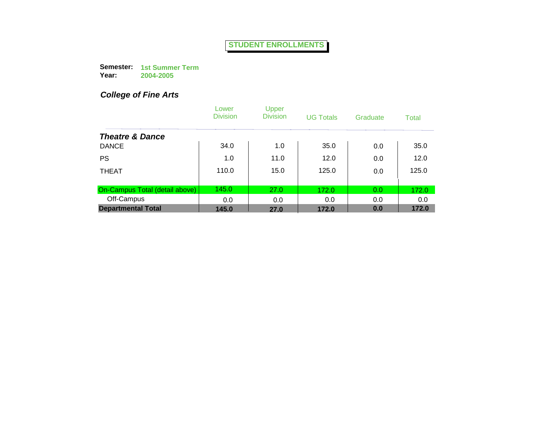**Semester: 1st Summer Term Year: 2004-2005**

# *College of Fine Arts*

|                                | Lower<br><b>Division</b> | Upper<br><b>Division</b> | <b>UG Totals</b> | Graduate | <b>Total</b> |
|--------------------------------|--------------------------|--------------------------|------------------|----------|--------------|
| <b>Theatre &amp; Dance</b>     |                          |                          |                  |          |              |
| <b>DANCE</b>                   | 34.0                     | 1.0                      | 35.0             | 0.0      | 35.0         |
| <b>PS</b>                      | 1.0                      | 11.0                     | 12.0             | 0.0      | 12.0         |
| <b>THEAT</b>                   | 110.0                    | 15.0                     | 125.0            | 0.0      | 125.0        |
| On-Campus Total (detail above) | 145.0                    | 27.0                     | 172.0            | 0.0      | 172.0        |
| Off-Campus                     | 0.0                      | 0.0                      | 0.0              | 0.0      | 0.0          |
| <b>Departmental Total</b>      | 145.0                    | 27.0                     | 172.0            | 0.0      | 172.0        |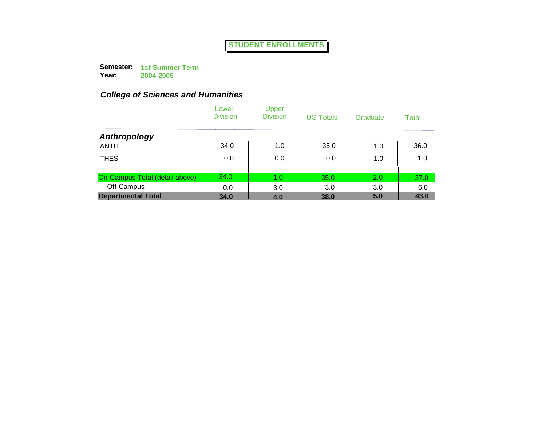**Semester: 1st Summer Term Year: 2004-2005**

|                                | Lower<br><b>Division</b> | Upper<br><b>Division</b> | <b>UG Totals</b> | Graduate | Total |
|--------------------------------|--------------------------|--------------------------|------------------|----------|-------|
| Anthropology                   |                          |                          |                  |          |       |
| <b>ANTH</b>                    | 34.0                     | 1.0                      | 35.0             | 1.0      | 36.0  |
| <b>THES</b>                    | 0.0                      | 0.0                      | 0.0              | 1.0      | 1.0   |
| On-Campus Total (detail above) | 34.0                     | 1.0                      | 35.0             | 2.0      | 37.0  |
| Off-Campus                     | 0.0                      | 3.0                      | 3.0              | 3.0      | 6.0   |
| <b>Departmental Total</b>      | 34.0                     | 4.0                      | 38.0             | 5.0      | 43.0  |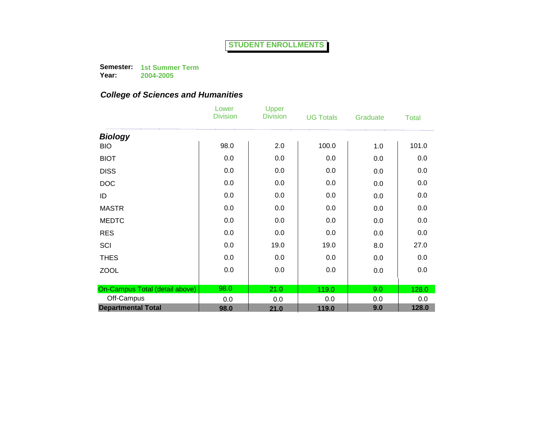**Semester: 1st Summer Term** 

**Year: 2004-2005**

|                                | Lower<br><b>Division</b> | Upper<br><b>Division</b> | <b>UG Totals</b> | Graduate | <b>Total</b> |
|--------------------------------|--------------------------|--------------------------|------------------|----------|--------------|
| <b>Biology</b>                 |                          |                          |                  |          |              |
| <b>BIO</b>                     | 98.0                     | 2.0                      | 100.0            | 1.0      | 101.0        |
| <b>BIOT</b>                    | 0.0                      | 0.0                      | 0.0              | 0.0      | 0.0          |
| <b>DISS</b>                    | 0.0                      | 0.0                      | 0.0              | 0.0      | 0.0          |
| <b>DOC</b>                     | 0.0                      | 0.0                      | 0.0              | 0.0      | 0.0          |
| ID                             | 0.0                      | 0.0                      | 0.0              | 0.0      | 0.0          |
| <b>MASTR</b>                   | 0.0                      | 0.0                      | 0.0              | 0.0      | 0.0          |
| <b>MEDTC</b>                   | 0.0                      | 0.0                      | 0.0              | 0.0      | 0.0          |
| <b>RES</b>                     | 0.0                      | 0.0                      | 0.0              | 0.0      | 0.0          |
| SCI                            | 0.0                      | 19.0                     | 19.0             | 8.0      | 27.0         |
| <b>THES</b>                    | 0.0                      | 0.0                      | 0.0              | 0.0      | 0.0          |
| <b>ZOOL</b>                    | 0.0                      | 0.0                      | 0.0              | 0.0      | 0.0          |
|                                |                          |                          |                  |          |              |
| On-Campus Total (detail above) | 98.0                     | 21.0                     | 119.0            | 9.0      | 128.0        |
| Off-Campus                     | 0.0                      | 0.0                      | 0.0              | 0.0      | 0.0          |
| <b>Departmental Total</b>      | 98.0                     | 21.0                     | 119.0            | 9.0      | 128.0        |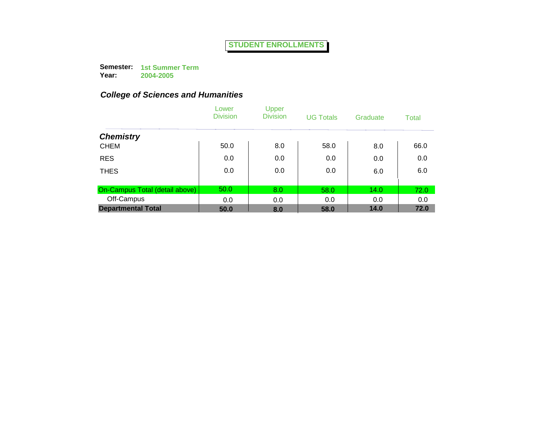**Semester: 1st Summer Term Year:**

**2004-2005**

|                                | Lower<br><b>Division</b> | Upper<br><b>Division</b> | <b>UG Totals</b> | Graduate | Total |
|--------------------------------|--------------------------|--------------------------|------------------|----------|-------|
| <b>Chemistry</b>               |                          |                          |                  |          |       |
| <b>CHEM</b>                    | 50.0                     | 8.0                      | 58.0             | 8.0      | 66.0  |
| <b>RES</b>                     | 0.0                      | 0.0                      | 0.0              | 0.0      | 0.0   |
| <b>THES</b>                    | 0.0                      | 0.0                      | 0.0              | 6.0      | 6.0   |
|                                |                          |                          |                  |          |       |
| On-Campus Total (detail above) | 50.0                     | 8.0                      | 58.0             | 14.0     | 72.0  |
| Off-Campus                     | 0.0                      | 0.0                      | 0.0              | 0.0      | 0.0   |
| <b>Departmental Total</b>      | 50.0                     | 8.0                      | 58.0             | 14.0     | 72.0  |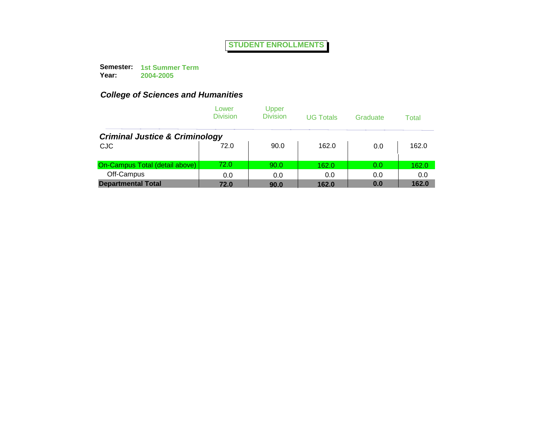**Semester: 1st Summer Term Year:**

**2004-2005**

|                                           | Lower<br><b>Division</b> | Upper<br><b>Division</b> | <b>UG Totals</b> | Graduate | Total |
|-------------------------------------------|--------------------------|--------------------------|------------------|----------|-------|
| <b>Criminal Justice &amp; Criminology</b> |                          |                          |                  |          |       |
| <b>CJC</b>                                | 72.0                     | 90.0                     | 162.0            | 0.0      | 162.0 |
| On-Campus Total (detail above)            | 72.0                     | 90.0                     | 162.0            | 0.0      | 162.0 |
| Off-Campus                                | 0.0                      | 0.0                      | 0.0              | 0.0      | 0.0   |
| <b>Departmental Total</b>                 | 72.0                     | 90.0                     | 162.0            | 0.0      | 162.0 |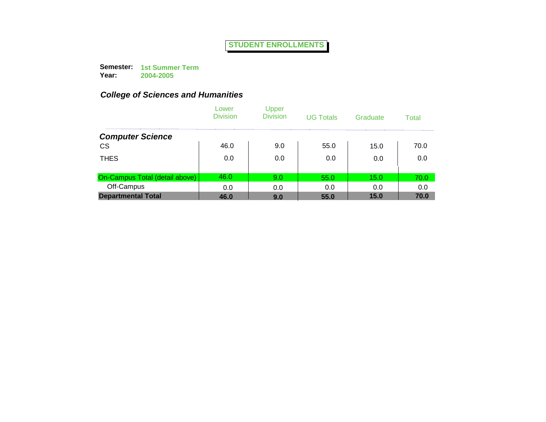**Semester: 1st Summer Term Year:**

**2004-2005**

|                                | Lower<br><b>Division</b> | Upper<br><b>Division</b> | <b>UG Totals</b> | Graduate | Total |
|--------------------------------|--------------------------|--------------------------|------------------|----------|-------|
| <b>Computer Science</b>        |                          |                          |                  |          |       |
| <b>CS</b>                      | 46.0                     | 9.0                      | 55.0             | 15.0     | 70.0  |
| <b>THES</b>                    | 0.0                      | 0.0                      | 0.0              | 0.0      | 0.0   |
| On-Campus Total (detail above) | 46.0                     | 9.0                      | 55.0             | 15.0     | 70.0  |
| Off-Campus                     | 0.0                      | 0.0                      | 0.0              | 0.0      | 0.0   |
| <b>Departmental Total</b>      | 46.0                     | 9.0                      | 55.0             | 15.0     | 70.0  |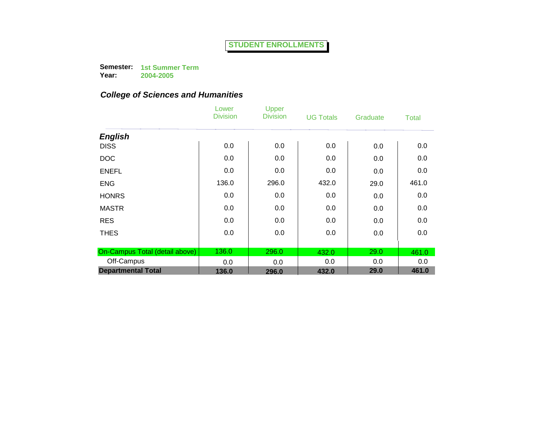**Semester: 1st Summer Term** 

**Year: 2004-2005**

|                                | Lower<br><b>Division</b> | Upper<br><b>Division</b> | <b>UG Totals</b> | Graduate | <b>Total</b> |
|--------------------------------|--------------------------|--------------------------|------------------|----------|--------------|
| <b>English</b>                 |                          |                          |                  |          |              |
| <b>DISS</b>                    | 0.0                      | 0.0                      | 0.0              | 0.0      | 0.0          |
| <b>DOC</b>                     | 0.0                      | 0.0                      | 0.0              | 0.0      | 0.0          |
| <b>ENEFL</b>                   | 0.0                      | 0.0                      | 0.0              | 0.0      | 0.0          |
| <b>ENG</b>                     | 136.0                    | 296.0                    | 432.0            | 29.0     | 461.0        |
| <b>HONRS</b>                   | 0.0                      | 0.0                      | 0.0              | 0.0      | 0.0          |
| <b>MASTR</b>                   | 0.0                      | 0.0                      | 0.0              | 0.0      | 0.0          |
| <b>RES</b>                     | 0.0                      | 0.0                      | 0.0              | 0.0      | 0.0          |
| <b>THES</b>                    | 0.0                      | 0.0                      | 0.0              | 0.0      | 0.0          |
|                                |                          |                          |                  |          |              |
| On-Campus Total (detail above) | 136.0                    | 296.0                    | 432.0            | 29.0     | 461.0        |
| Off-Campus                     | 0.0                      | 0.0                      | 0.0              | 0.0      | 0.0          |
| <b>Departmental Total</b>      | 136.0                    | 296.0                    | 432.0            | 29.0     | 461.0        |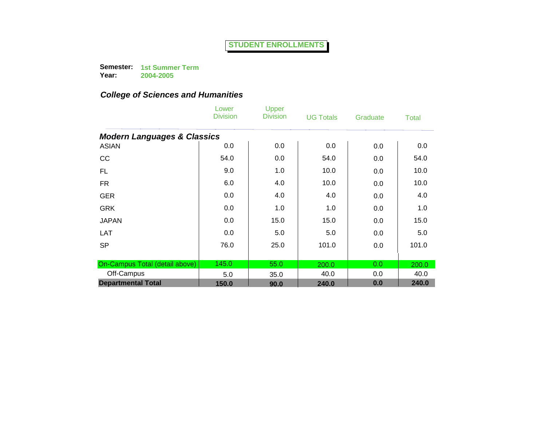**Semester: 1st Summer Term** 

**Year: 2004-2005**

|                                        | Lower<br><b>Division</b> | Upper<br><b>Division</b> | <b>UG Totals</b> | Graduate | <b>Total</b> |
|----------------------------------------|--------------------------|--------------------------|------------------|----------|--------------|
| <b>Modern Languages &amp; Classics</b> |                          |                          |                  |          |              |
| <b>ASIAN</b>                           | 0.0                      | 0.0                      | 0.0              | 0.0      | 0.0          |
| cc                                     | 54.0                     | 0.0                      | 54.0             | 0.0      | 54.0         |
| <b>FL</b>                              | 9.0                      | 1.0                      | 10.0             | 0.0      | 10.0         |
| <b>FR</b>                              | 6.0                      | 4.0                      | 10.0             | 0.0      | 10.0         |
| <b>GER</b>                             | 0.0                      | 4.0                      | 4.0              | 0.0      | 4.0          |
| <b>GRK</b>                             | 0.0                      | 1.0                      | 1.0              | 0.0      | 1.0          |
| <b>JAPAN</b>                           | 0.0                      | 15.0                     | 15.0             | 0.0      | 15.0         |
| <b>LAT</b>                             | 0.0                      | 5.0                      | 5.0              | 0.0      | 5.0          |
| <b>SP</b>                              | 76.0                     | 25.0                     | 101.0            | 0.0      | 101.0        |
|                                        |                          |                          |                  |          |              |
| On-Campus Total (detail above)         | 145.0                    | 55.0                     | 200.0            | 0.0      | 200.0        |
| Off-Campus                             | 5.0                      | 35.0                     | 40.0             | 0.0      | 40.0         |
| <b>Departmental Total</b>              | 150.0                    | 90.0                     | 240.0            | 0.0      | 240.0        |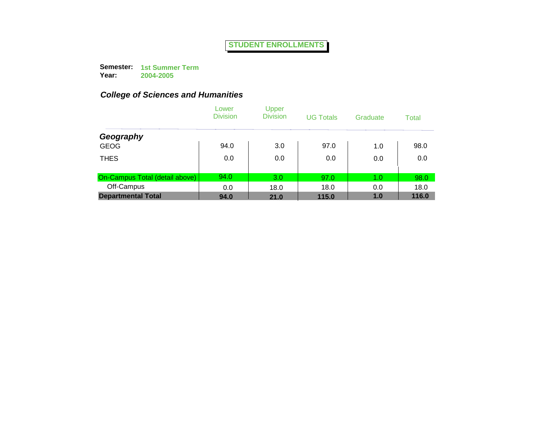**Semester: 1st Summer Term Year: 2004-2005**

|                                | Lower<br><b>Division</b> | Upper<br><b>Division</b> | <b>UG Totals</b> | Graduate | Total |
|--------------------------------|--------------------------|--------------------------|------------------|----------|-------|
| Geography                      |                          |                          |                  |          |       |
| <b>GEOG</b>                    | 94.0                     | 3.0                      | 97.0             | 1.0      | 98.0  |
| <b>THES</b>                    | 0.0                      | 0.0                      | 0.0              | 0.0      | 0.0   |
| On-Campus Total (detail above) | 94.0                     | 3.0                      | 97.0             | 1.0      | 98.0  |
| Off-Campus                     | 0.0                      | 18.0                     | 18.0             | 0.0      | 18.0  |
| <b>Departmental Total</b>      | 94.0                     | 21.0                     | 115.0            | 1.0      | 116.0 |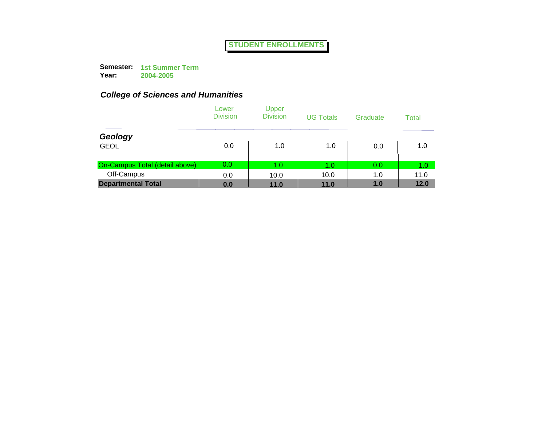**Semester: 1st Summer Term Year: 2004-2005**

|                                | Lower<br><b>Division</b> | Upper<br><b>Division</b> | <b>UG Totals</b> | Graduate | Total |
|--------------------------------|--------------------------|--------------------------|------------------|----------|-------|
| Geology                        |                          |                          |                  |          |       |
| <b>GEOL</b>                    | 0.0                      | 1.0                      | 1.0              | 0.0      | 1.0   |
| On-Campus Total (detail above) | 0.0                      | 1.0                      | 1.0              | 0.0      | 1.0   |
| Off-Campus                     | 0.0                      | 10.0                     | 10.0             | 1.0      | 11.0  |
| <b>Departmental Total</b>      | 0.0                      | 11.0                     | 11.0             | 1.0      | 12.0  |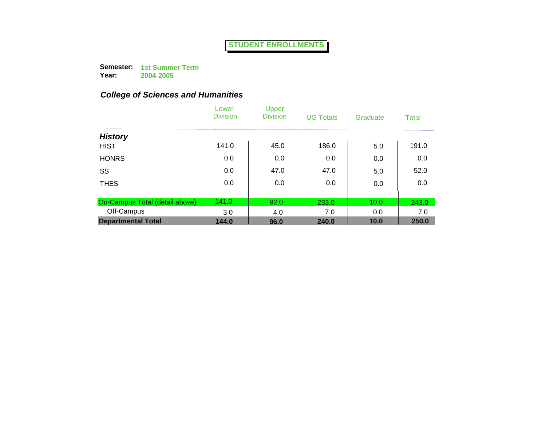**Semester: 1st Summer Term Year:**

**2004-2005**

|                                | Lower<br><b>Division</b> | Upper<br><b>Division</b> | <b>UG Totals</b> | Graduate | Total |
|--------------------------------|--------------------------|--------------------------|------------------|----------|-------|
| <b>History</b>                 |                          |                          |                  |          |       |
| <b>HIST</b>                    | 141.0                    | 45.0                     | 186.0            | 5.0      | 191.0 |
| <b>HONRS</b>                   | 0.0                      | 0.0                      | 0.0              | 0.0      | 0.0   |
| SS                             | 0.0                      | 47.0                     | 47.0             | 5.0      | 52.0  |
| <b>THES</b>                    | 0.0                      | 0.0                      | 0.0              | 0.0      | 0.0   |
|                                |                          |                          |                  |          |       |
| On-Campus Total (detail above) | 141.0                    | 92.0                     | 233.0            | 10.0     | 243.0 |
| Off-Campus                     | 3.0                      | 4.0                      | 7.0              | 0.0      | 7.0   |
| <b>Departmental Total</b>      | 144.0                    | 96.0                     | 240.0            | 10.0     | 250.0 |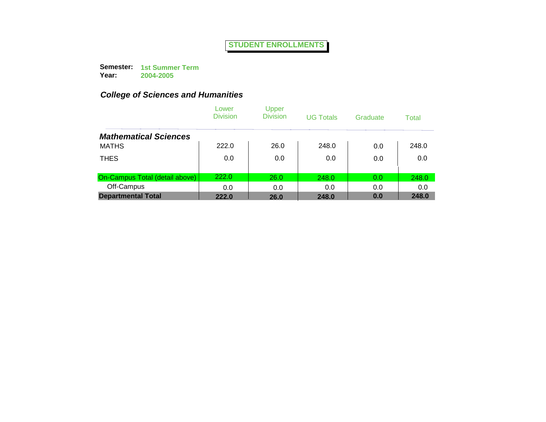**Semester: 1st Summer Term Year:**

**2004-2005**

|                                | Lower<br><b>Division</b> | Upper<br><b>Division</b> | <b>UG Totals</b> | Graduate | Total |
|--------------------------------|--------------------------|--------------------------|------------------|----------|-------|
| <b>Mathematical Sciences</b>   |                          |                          |                  |          |       |
| <b>MATHS</b>                   | 222.0                    | 26.0                     | 248.0            | 0.0      | 248.0 |
| <b>THES</b>                    | 0.0                      | 0.0                      | 0.0              | 0.0      | 0.0   |
|                                |                          |                          |                  |          |       |
| On-Campus Total (detail above) | 222.0                    | 26.0                     | 248.0            | 0.0      | 248.0 |
| Off-Campus                     | 0.0                      | 0.0                      | 0.0              | 0.0      | 0.0   |
| <b>Departmental Total</b>      | 222.0                    | 26.0                     | 248.0            | 0.0      | 248.0 |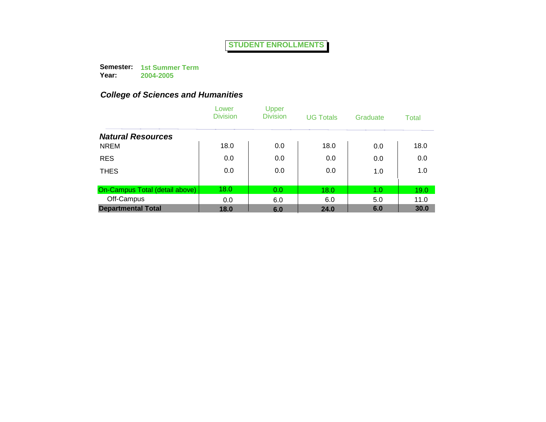**Semester: 1st Summer Term Year:**

**2004-2005**

|                                | Lower<br><b>Division</b> | Upper<br><b>Division</b> | <b>UG Totals</b> | Graduate | Total |
|--------------------------------|--------------------------|--------------------------|------------------|----------|-------|
| <b>Natural Resources</b>       |                          |                          |                  |          |       |
| <b>NREM</b>                    | 18.0                     | 0.0                      | 18.0             | 0.0      | 18.0  |
| <b>RES</b>                     | 0.0                      | 0.0                      | 0.0              | 0.0      | 0.0   |
| <b>THES</b>                    | 0.0                      | 0.0                      | 0.0              | 1.0      | 1.0   |
|                                |                          |                          |                  |          |       |
| On-Campus Total (detail above) | 18.0                     | 0.0                      | 18.0             | 1.0      | 19.0  |
| Off-Campus                     | 0.0                      | 6.0                      | 6.0              | 5.0      | 11.0  |
| <b>Departmental Total</b>      | 18.0                     | 6.0                      | 24.0             | 6.0      | 30.0  |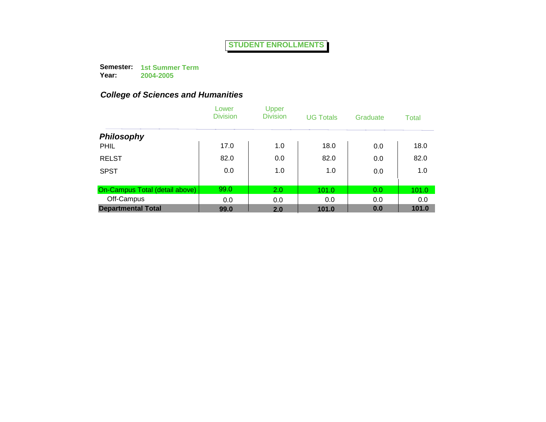**Semester: 1st Summer Term Year:**

**2004-2005**

|                                | Lower<br><b>Division</b> | Upper<br><b>Division</b> | <b>UG Totals</b> | Graduate | Total |
|--------------------------------|--------------------------|--------------------------|------------------|----------|-------|
| <b>Philosophy</b>              |                          |                          |                  |          |       |
| <b>PHIL</b>                    | 17.0                     | 1.0                      | 18.0             | 0.0      | 18.0  |
| <b>RELST</b>                   | 82.0                     | 0.0                      | 82.0             | 0.0      | 82.0  |
| <b>SPST</b>                    | 0.0                      | 1.0                      | 1.0              | 0.0      | 1.0   |
|                                |                          |                          |                  |          |       |
| On-Campus Total (detail above) | 99.0                     | 2.0                      | 101.0            | 0.0      | 101.0 |
| Off-Campus                     | 0.0                      | 0.0                      | 0.0              | 0.0      | 0.0   |
| <b>Departmental Total</b>      | 99.0                     | 2.0                      | 101.0            | 0.0      | 101.0 |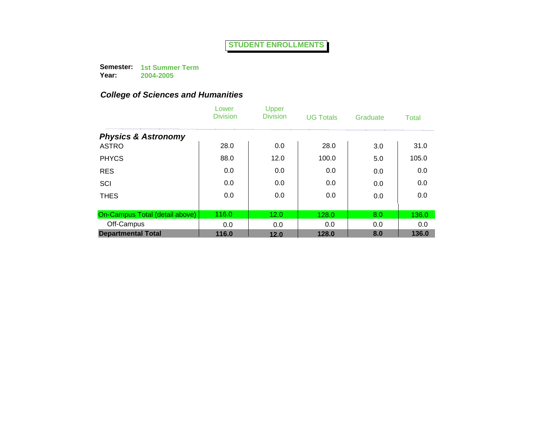**Semester: 1st Summer Term Year:**

**2004-2005**

|                                | Lower<br><b>Division</b> | Upper<br><b>Division</b> | <b>UG Totals</b> | Graduate | Total |
|--------------------------------|--------------------------|--------------------------|------------------|----------|-------|
| <b>Physics &amp; Astronomy</b> |                          |                          |                  |          |       |
| <b>ASTRO</b>                   | 28.0                     | 0.0                      | 28.0             | 3.0      | 31.0  |
| <b>PHYCS</b>                   | 88.0                     | 12.0                     | 100.0            | 5.0      | 105.0 |
| <b>RES</b>                     | 0.0                      | 0.0                      | 0.0              | 0.0      | 0.0   |
| SCI                            | 0.0                      | 0.0                      | 0.0              | 0.0      | 0.0   |
| <b>THES</b>                    | 0.0                      | 0.0                      | 0.0              | 0.0      | 0.0   |
|                                |                          |                          |                  |          |       |
| On-Campus Total (detail above) | 116.0                    | 12.0                     | 128.0            | 8.0      | 136.0 |
| Off-Campus                     | 0.0                      | 0.0                      | 0.0              | 0.0      | 0.0   |
| <b>Departmental Total</b>      | 116.0                    | 12.0                     | 128.0            | 8.0      | 136.0 |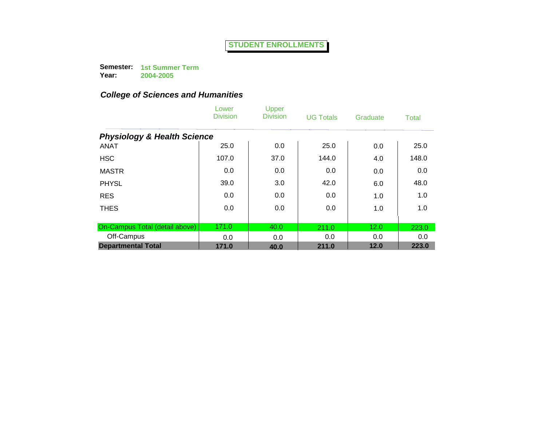**Semester: 1st Summer Term Year:**

**2004-2005**

|                                        | Lower<br><b>Division</b> | Upper<br><b>Division</b> | <b>UG Totals</b> | Graduate | Total |
|----------------------------------------|--------------------------|--------------------------|------------------|----------|-------|
| <b>Physiology &amp; Health Science</b> |                          |                          |                  |          |       |
| <b>ANAT</b>                            | 25.0                     | 0.0                      | 25.0             | 0.0      | 25.0  |
| <b>HSC</b>                             | 107.0                    | 37.0                     | 144.0            | 4.0      | 148.0 |
| <b>MASTR</b>                           | 0.0                      | 0.0                      | 0.0              | 0.0      | 0.0   |
| <b>PHYSL</b>                           | 39.0                     | 3.0                      | 42.0             | 6.0      | 48.0  |
| <b>RES</b>                             | 0.0                      | 0.0                      | 0.0              | 1.0      | 1.0   |
| <b>THES</b>                            | 0.0                      | 0.0                      | 0.0              | 1.0      | 1.0   |
| On-Campus Total (detail above)         | 171.0                    | 40.0                     | 211.0            | 12.0     | 223.0 |
| Off-Campus                             | 0.0                      | 0.0                      | 0.0              | 0.0      | 0.0   |
| <b>Departmental Total</b>              | 171.0                    | 40.0                     | 211.0            | 12.0     | 223.0 |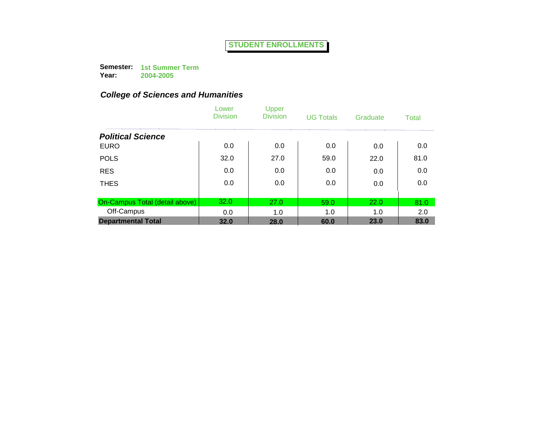**Semester: 1st Summer Term Year:**

**2004-2005**

|                                | Lower<br><b>Division</b> | Upper<br><b>Division</b> | <b>UG Totals</b> | Graduate | Total |
|--------------------------------|--------------------------|--------------------------|------------------|----------|-------|
| <b>Political Science</b>       |                          |                          |                  |          |       |
| <b>EURO</b>                    | 0.0                      | 0.0                      | 0.0              | 0.0      | 0.0   |
| <b>POLS</b>                    | 32.0                     | 27.0                     | 59.0             | 22.0     | 81.0  |
| <b>RES</b>                     | 0.0                      | 0.0                      | 0.0              | 0.0      | 0.0   |
| <b>THES</b>                    | 0.0                      | 0.0                      | 0.0              | 0.0      | 0.0   |
|                                |                          |                          |                  |          |       |
| On-Campus Total (detail above) | 32.0                     | 27.0                     | 59.0             | 22.0     | 81.0  |
| Off-Campus                     | 0.0                      | 1.0                      | 1.0              | 1.0      | 2.0   |
| <b>Departmental Total</b>      | 32.0                     | 28.0                     | 60.0             | 23.0     | 83.0  |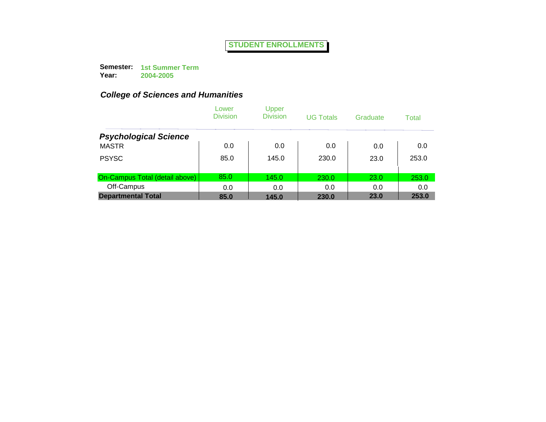**Semester: 1st Summer Term Year:**

**2004-2005**

|                                | Lower<br><b>Division</b> | Upper<br><b>Division</b> | <b>UG Totals</b> | Graduate | Total |
|--------------------------------|--------------------------|--------------------------|------------------|----------|-------|
| <b>Psychological Science</b>   |                          |                          |                  |          |       |
| <b>MASTR</b>                   | 0.0                      | 0.0                      | 0.0              | 0.0      | 0.0   |
| <b>PSYSC</b>                   | 85.0                     | 145.0                    | 230.0            | 23.0     | 253.0 |
| On-Campus Total (detail above) | 85.0                     | 145.0                    | 230.0            | 23.0     | 253.0 |
| Off-Campus                     | 0.0                      | 0.0                      | 0.0              | 0.0      | 0.0   |
| <b>Departmental Total</b>      | 85.0                     | 145.0                    | 230.0            | 23.0     | 253.0 |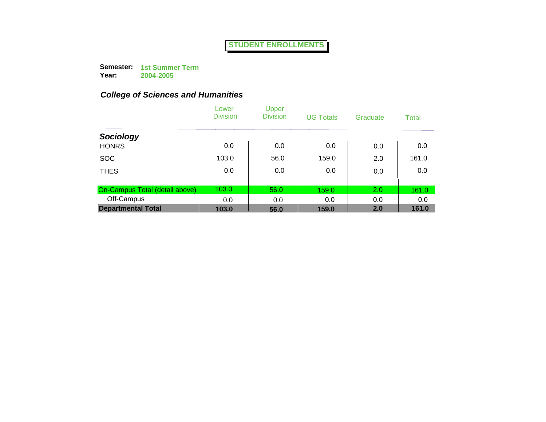**Semester: 1st Summer Term Year: 2004-2005**

|                                | Lower<br><b>Division</b> | Upper<br><b>Division</b> | <b>UG Totals</b> | Graduate | <b>Total</b> |
|--------------------------------|--------------------------|--------------------------|------------------|----------|--------------|
| Sociology                      |                          |                          |                  |          |              |
| <b>HONRS</b>                   | 0.0                      | 0.0                      | 0.0              | 0.0      | 0.0          |
| <b>SOC</b>                     | 103.0                    | 56.0                     | 159.0            | 2.0      | 161.0        |
| <b>THES</b>                    | 0.0                      | 0.0                      | 0.0              | 0.0      | 0.0          |
| On-Campus Total (detail above) | 103.0                    | 56.0                     | 159.0            | 2.0      | 161.0        |
| Off-Campus                     | 0.0                      | 0.0                      | 0.0              | 0.0      | 0.0          |
| <b>Departmental Total</b>      | 103.0                    | 56.0                     | 159.0            | 2.0      | 161.0        |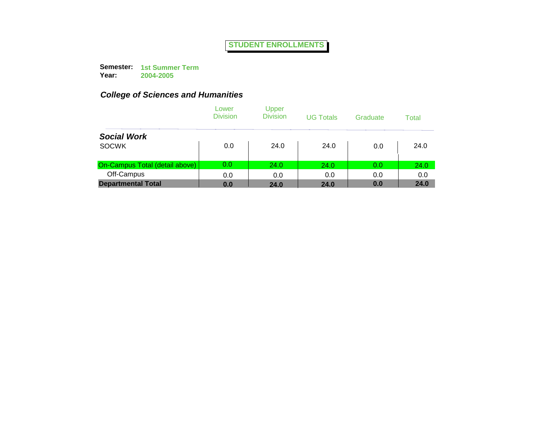**Semester: 1st Summer Term Year: 2004-2005**

|                                | Lower<br><b>Division</b> | Upper<br><b>Division</b> | <b>UG Totals</b> | Graduate | Total |
|--------------------------------|--------------------------|--------------------------|------------------|----------|-------|
| <b>Social Work</b>             |                          |                          |                  |          |       |
| <b>SOCWK</b>                   | 0.0                      | 24.0                     | 24.0             | 0.0      | 24.0  |
| On-Campus Total (detail above) | 0.0                      | 24.0                     | 24.0             | 0.0      | 24.0  |
| Off-Campus                     | 0.0                      | 0.0                      | 0.0              | 0.0      | 0.0   |
| <b>Departmental Total</b>      | 0.0                      | 24.0                     | 24.0             | 0.0      | 24.0  |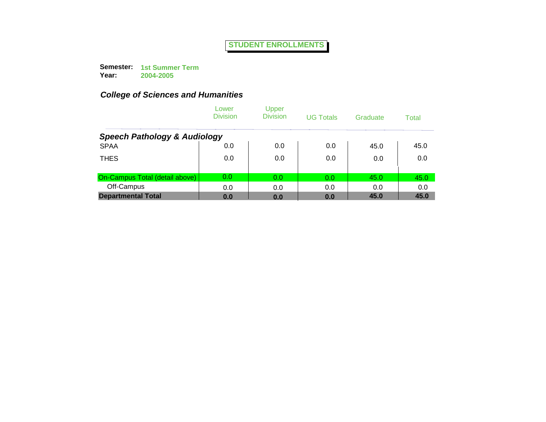**Semester: 1st Summer Term Year:**

**2004-2005**

|                                         | Lower<br><b>Division</b> | Upper<br><b>Division</b> | <b>UG Totals</b> | Graduate | Total |
|-----------------------------------------|--------------------------|--------------------------|------------------|----------|-------|
| <b>Speech Pathology &amp; Audiology</b> |                          |                          |                  |          |       |
| <b>SPAA</b>                             | 0.0                      | 0.0                      | 0.0              | 45.0     | 45.0  |
| <b>THES</b>                             | 0.0                      | 0.0                      | 0.0              | 0.0      | 0.0   |
| On-Campus Total (detail above)          | 0.0                      | 0.0                      | 0.0              | 45.0     | 45.0  |
| Off-Campus                              | 0.0                      | 0.0                      | 0.0              | 0.0      | 0.0   |
| <b>Departmental Total</b>               | 0.0                      | 0.0                      | 0.0              | 45.0     | 45.0  |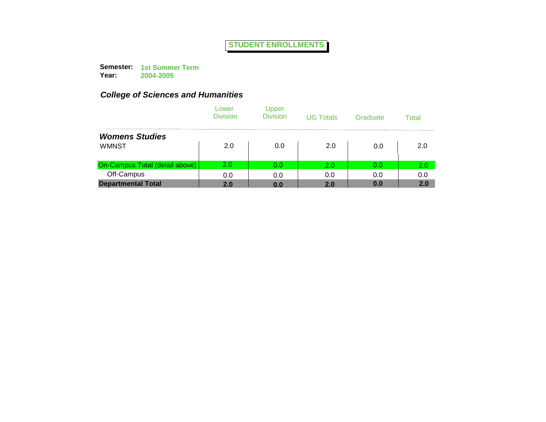**Semester: 1st Summer Term Year:**

**2004-2005**

|                                | Lower<br><b>Division</b> | Upper<br><b>Division</b> | <b>UG Totals</b> | Graduate | Total |
|--------------------------------|--------------------------|--------------------------|------------------|----------|-------|
| <b>Womens Studies</b>          |                          |                          |                  |          |       |
| <b>WMNST</b>                   | 2.0                      | 0.0                      | 2.0              | 0.0      | 2.0   |
| On-Campus Total (detail above) | 2.0                      | 0.0                      | 2.0              | 0.0      | 2.0   |
| Off-Campus                     | 0.0                      | 0.0                      | 0.0              | 0.0      | 0.0   |
| <b>Departmental Total</b>      | 2.0                      | 0.0                      | 2.0              | 0.0      | 2.0   |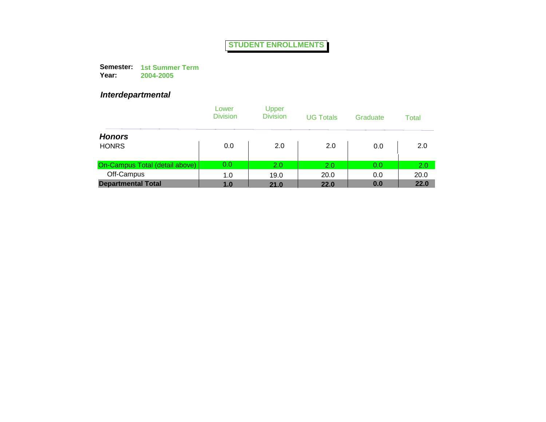**Semester: 1st Summer Term Year: 2004-2005**

### *Interdepartmental*

|                                | Lower<br><b>Division</b> | Upper<br><b>Division</b> | <b>UG Totals</b> | Graduate | Total |
|--------------------------------|--------------------------|--------------------------|------------------|----------|-------|
| <b>Honors</b>                  |                          |                          |                  |          |       |
| <b>HONRS</b>                   | 0.0                      | 2.0                      | 2.0              | 0.0      | 2.0   |
| On-Campus Total (detail above) | 0.0                      | 2.0                      | 2.0              | 0.0      | 2.0   |
| Off-Campus                     | 1.0                      | 19.0                     | 20.0             | 0.0      | 20.0  |
| <b>Departmental Total</b>      | 1.0                      | 21.0                     | 22.0             | 0.0      | 22.0  |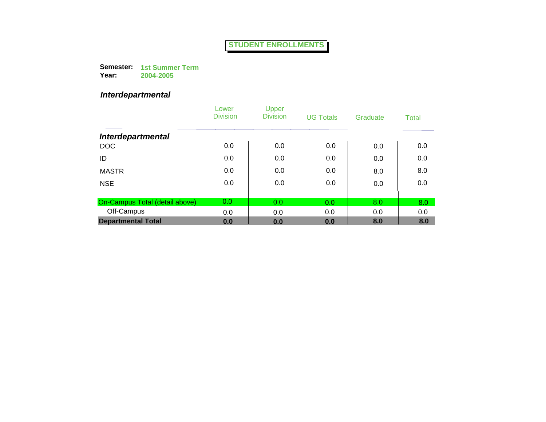**Semester: 1st Summer Term Year: 2004-2005**

### *Interdepartmental*

|                                | Lower<br><b>Division</b> | Upper<br><b>Division</b> | <b>UG Totals</b> | Graduate | <b>Total</b> |
|--------------------------------|--------------------------|--------------------------|------------------|----------|--------------|
| <b>Interdepartmental</b>       |                          |                          |                  |          |              |
| <b>DOC</b>                     | 0.0                      | 0.0                      | 0.0              | 0.0      | 0.0          |
| ID                             | 0.0                      | 0.0                      | 0.0              | 0.0      | 0.0          |
| <b>MASTR</b>                   | 0.0                      | 0.0                      | 0.0              | 8.0      | 8.0          |
| <b>NSE</b>                     | 0.0                      | 0.0                      | 0.0              | 0.0      | 0.0          |
|                                |                          |                          |                  |          |              |
| On-Campus Total (detail above) | 0.0                      | 0.0                      | 0.0              | 8.0      | 8.0          |
| Off-Campus                     | 0.0                      | 0.0                      | 0.0              | 0.0      | 0.0          |
| <b>Departmental Total</b>      | 0.0                      | 0.0                      | 0.0              | 8.0      | 8.0          |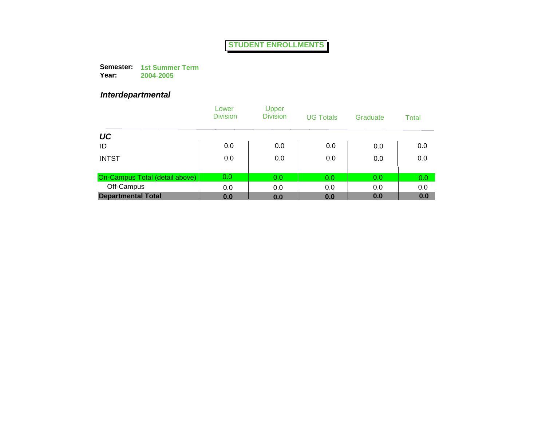**Semester: 1st Summer Term Year: 2004-2005**

### *Interdepartmental*

|                                | Lower<br><b>Division</b> | Upper<br><b>Division</b> | <b>UG Totals</b> | Graduate | Total |
|--------------------------------|--------------------------|--------------------------|------------------|----------|-------|
| UC                             |                          |                          |                  |          |       |
| ID                             | 0.0                      | 0.0                      | 0.0              | 0.0      | 0.0   |
| <b>INTST</b>                   | 0.0                      | 0.0                      | 0.0              | 0.0      | 0.0   |
| On-Campus Total (detail above) | 0.0                      | 0.0                      | 0.0              | 0.0      | 0.0   |
| Off-Campus                     | 0.0                      | 0.0                      | 0.0              | 0.0      | 0.0   |
| <b>Departmental Total</b>      | 0.0                      | 0.0                      | 0.0              | 0.0      | 0.0   |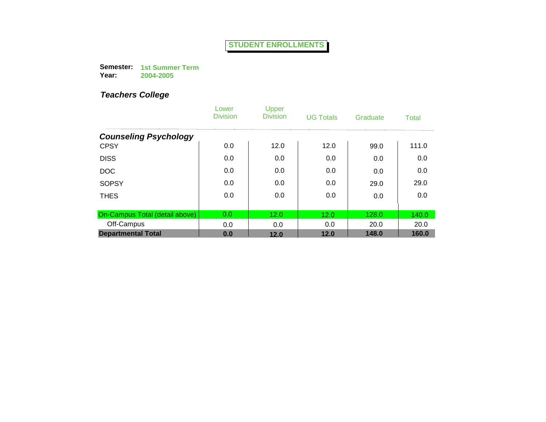**Semester: 1st Summer Term Year: 2004-2005**

|                                | Lower<br><b>Division</b> | Upper<br><b>Division</b> | <b>UG Totals</b> | Graduate | Total |
|--------------------------------|--------------------------|--------------------------|------------------|----------|-------|
| <b>Counseling Psychology</b>   |                          |                          |                  |          |       |
| <b>CPSY</b>                    | 0.0                      | 12.0                     | 12.0             | 99.0     | 111.0 |
| <b>DISS</b>                    | 0.0                      | 0.0                      | 0.0              | 0.0      | 0.0   |
| <b>DOC</b>                     | 0.0                      | 0.0                      | 0.0              | 0.0      | 0.0   |
| <b>SOPSY</b>                   | 0.0                      | 0.0                      | 0.0              | 29.0     | 29.0  |
| <b>THES</b>                    | 0.0                      | 0.0                      | 0.0              | 0.0      | 0.0   |
|                                |                          |                          |                  |          |       |
| On-Campus Total (detail above) | 0.0                      | 12.0                     | 12.0             | 128.0    | 140.0 |
| Off-Campus                     | 0.0                      | 0.0                      | 0.0              | 20.0     | 20.0  |
| <b>Departmental Total</b>      | 0.0                      | 12.0                     | 12.0             | 148.0    | 160.0 |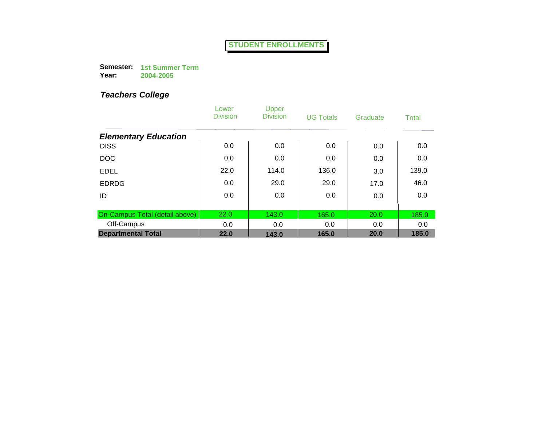**Semester: 1st Summer Term Year: 2004-2005**

|                                | Lower<br><b>Division</b> | Upper<br><b>Division</b> | <b>UG Totals</b> | Graduate | <b>Total</b> |
|--------------------------------|--------------------------|--------------------------|------------------|----------|--------------|
| <b>Elementary Education</b>    |                          |                          |                  |          |              |
| <b>DISS</b>                    | 0.0                      | 0.0                      | 0.0              | 0.0      | 0.0          |
| <b>DOC</b>                     | 0.0                      | 0.0                      | 0.0              | 0.0      | 0.0          |
| <b>EDEL</b>                    | 22.0                     | 114.0                    | 136.0            | 3.0      | 139.0        |
| <b>EDRDG</b>                   | 0.0                      | 29.0                     | 29.0             | 17.0     | 46.0         |
| ID                             | 0.0                      | 0.0                      | 0.0              | 0.0      | 0.0          |
|                                |                          |                          |                  |          |              |
| On-Campus Total (detail above) | 22.0                     | 143.0                    | 165.0            | 20.0     | 185.0        |
| Off-Campus                     | 0.0                      | 0.0                      | 0.0              | 0.0      | 0.0          |
| <b>Departmental Total</b>      | 22.0                     | 143.0                    | 165.0            | 20.0     | 185.0        |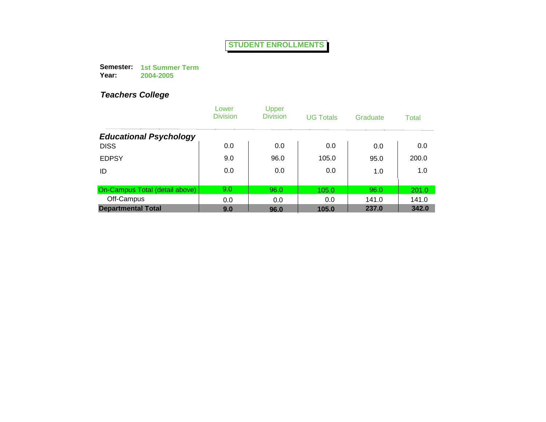**Semester: 1st Summer Term Year: 2004-2005**

|                                | Lower<br><b>Division</b> | Upper<br><b>Division</b> | <b>UG Totals</b> | Graduate | Total |
|--------------------------------|--------------------------|--------------------------|------------------|----------|-------|
| <b>Educational Psychology</b>  |                          |                          |                  |          |       |
| <b>DISS</b>                    | 0.0                      | 0.0                      | 0.0              | 0.0      | 0.0   |
| <b>EDPSY</b>                   | 9.0                      | 96.0                     | 105.0            | 95.0     | 200.0 |
| ID                             | 0.0                      | 0.0                      | 0.0              | 1.0      | 1.0   |
|                                |                          |                          |                  |          |       |
| On-Campus Total (detail above) | 9.0                      | 96.0                     | 105.0            | 96.0     | 201.0 |
| Off-Campus                     | 0.0                      | 0.0                      | 0.0              | 141.0    | 141.0 |
| <b>Departmental Total</b>      | 9.0                      | 96.0                     | 105.0            | 237.0    | 342.0 |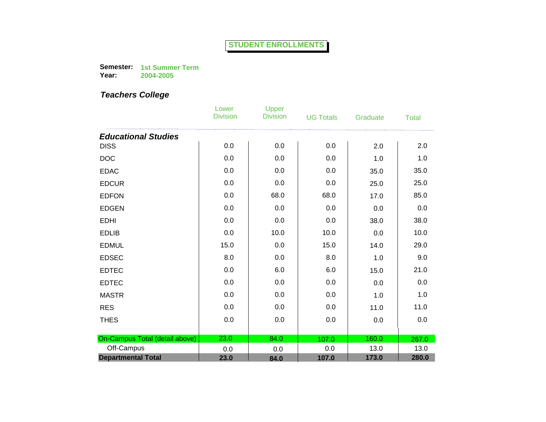**Semester: 1st Summer Term Year: 2004-2005**

|                                | Lower<br><b>Division</b> | <b>Upper</b><br><b>Division</b> | <b>UG Totals</b> | Graduate | <b>Total</b> |
|--------------------------------|--------------------------|---------------------------------|------------------|----------|--------------|
| <b>Educational Studies</b>     |                          |                                 |                  |          |              |
| <b>DISS</b>                    | 0.0                      | 0.0                             | 0.0              | 2.0      | 2.0          |
| <b>DOC</b>                     | 0.0                      | 0.0                             | 0.0              | 1.0      | 1.0          |
| <b>EDAC</b>                    | 0.0                      | 0.0                             | 0.0              | 35.0     | 35.0         |
| <b>EDCUR</b>                   | 0.0                      | 0.0                             | 0.0              | 25.0     | 25.0         |
| <b>EDFON</b>                   | 0.0                      | 68.0                            | 68.0             | 17.0     | 85.0         |
| <b>EDGEN</b>                   | 0.0                      | 0.0                             | 0.0              | 0.0      | 0.0          |
| <b>EDHI</b>                    | 0.0                      | 0.0                             | 0.0              | 38.0     | 38.0         |
| <b>EDLIB</b>                   | 0.0                      | 10.0                            | 10.0             | 0.0      | 10.0         |
| <b>EDMUL</b>                   | 15.0                     | 0.0                             | 15.0             | 14.0     | 29.0         |
| <b>EDSEC</b>                   | 8.0                      | 0.0                             | 8.0              | 1.0      | 9.0          |
| <b>EDTEC</b>                   | 0.0                      | 6.0                             | 6.0              | 15.0     | 21.0         |
| <b>EDTEC</b>                   | 0.0                      | 0.0                             | 0.0              | 0.0      | 0.0          |
| <b>MASTR</b>                   | 0.0                      | 0.0                             | 0.0              | 1.0      | 1.0          |
| <b>RES</b>                     | 0.0                      | 0.0                             | 0.0              | 11.0     | 11.0         |
| <b>THES</b>                    | 0.0                      | 0.0                             | 0.0              | 0.0      | 0.0          |
|                                |                          |                                 |                  |          |              |
| On-Campus Total (detail above) | 23.0                     | 84.0                            | 107.0            | 160.0    | 267.0        |
| Off-Campus                     | 0.0                      | 0.0                             | 0.0              | 13.0     | 13.0         |
| <b>Departmental Total</b>      | 23.0                     | 84.0                            | 107.0            | 173.0    | 280.0        |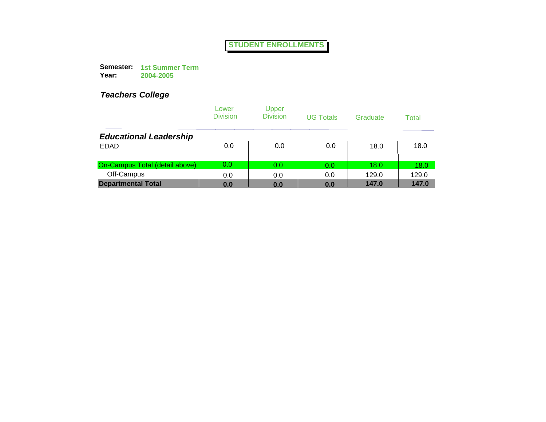**Semester: 1st Summer Term Year: 2004-2005**

|                                | Lower<br><b>Division</b> | Upper<br><b>Division</b> | <b>UG Totals</b> | Graduate | Total |
|--------------------------------|--------------------------|--------------------------|------------------|----------|-------|
| <b>Educational Leadership</b>  |                          |                          |                  |          |       |
| <b>EDAD</b>                    | 0.0                      | 0.0                      | 0.0              | 18.0     | 18.0  |
| On-Campus Total (detail above) | 0.0                      | 0.0                      | 0.0              | 18.0     | 18.0  |
| Off-Campus                     | 0.0                      | 0.0                      | 0.0              | 129.0    | 129.0 |
| <b>Departmental Total</b>      | 0.0                      | 0.0                      | 0.0              | 147.0    | 147.0 |